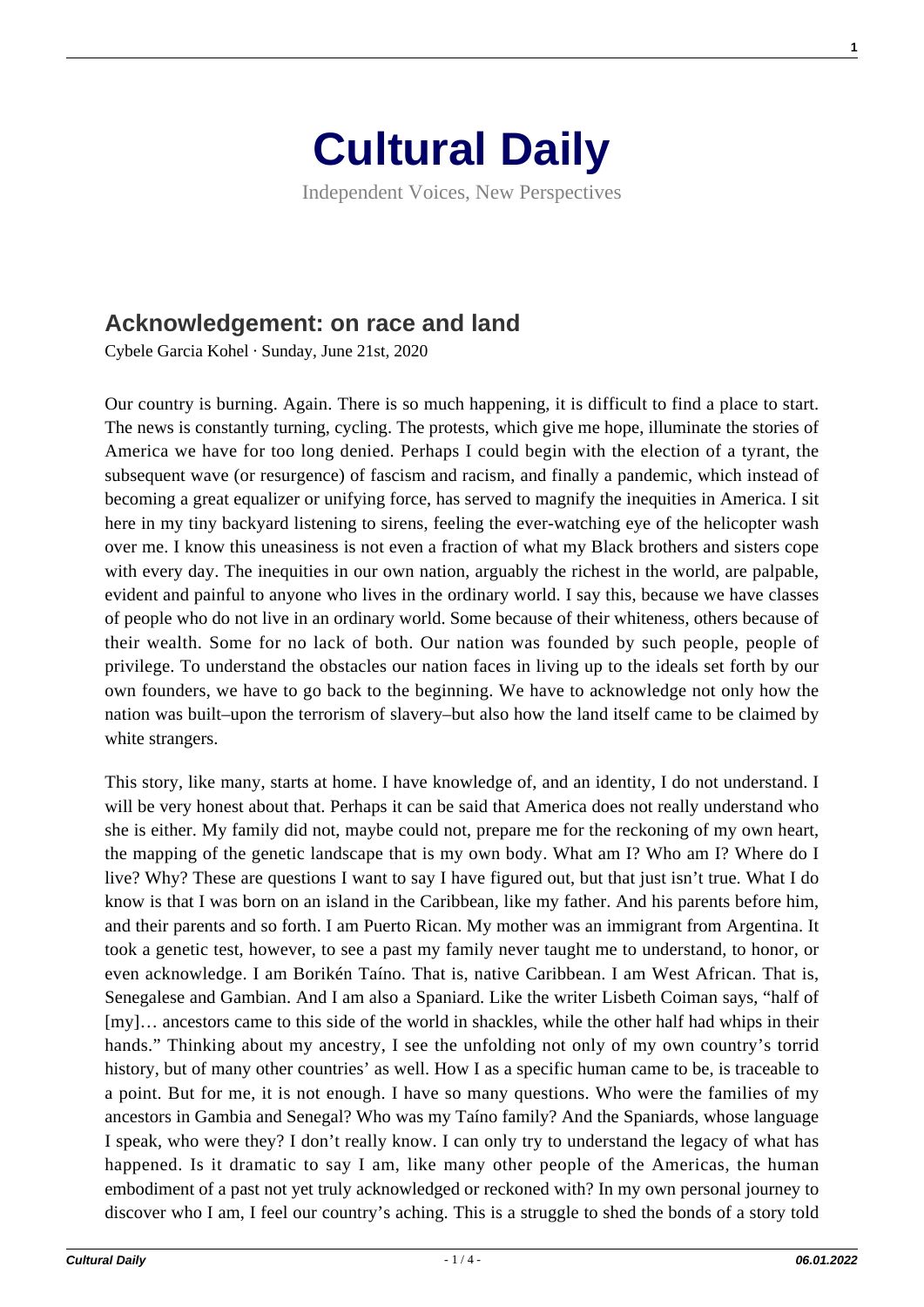

Independent Voices, New Perspectives

## **[Acknowledgement: on race and land](https://culturaldaily.com/acknowledgement-on-race-and-land/)**

Cybele Garcia Kohel · Sunday, June 21st, 2020

Our country is burning. Again. There is so much happening, it is difficult to find a place to start. The news is constantly turning, cycling. The protests, which give me hope, illuminate the stories of America we have for too long denied. Perhaps I could begin with the election of a tyrant, the subsequent wave (or resurgence) of fascism and racism, and finally a pandemic, which instead of becoming a great equalizer or unifying force, has served to magnify the inequities in America. I sit here in my tiny backyard listening to sirens, feeling the ever-watching eye of the helicopter wash over me. I know this uneasiness is not even a fraction of what my Black brothers and sisters cope with every day. The inequities in our own nation, arguably the richest in the world, are palpable, evident and painful to anyone who lives in the ordinary world. I say this, because we have classes of people who do not live in an ordinary world. Some because of their whiteness, others because of their wealth. Some for no lack of both. Our nation was founded by such people, people of privilege. To understand the obstacles our nation faces in living up to the ideals set forth by our own founders, we have to go back to the beginning. We have to acknowledge not only how the nation was built–upon the terrorism of slavery–but also how the land itself came to be claimed by white strangers.

This story, like many, starts at home. I have knowledge of, and an identity, I do not understand. I will be very honest about that. Perhaps it can be said that America does not really understand who she is either. My family did not, maybe could not, prepare me for the reckoning of my own heart, the mapping of the genetic landscape that is my own body. What am I? Who am I? Where do I live? Why? These are questions I want to say I have figured out, but that just isn't true. What I do know is that I was born on an island in the Caribbean, like my father. And his parents before him, and their parents and so forth. I am Puerto Rican. My mother was an immigrant from Argentina. It took a genetic test, however, to see a past my family never taught me to understand, to honor, or even acknowledge. I am Borikén Taíno. That is, native Caribbean. I am West African. That is, Senegalese and Gambian. And I am also a Spaniard. Like the writer Lisbeth Coiman says, "half of [my]... ancestors came to this side of the world in shackles, while the other half had whips in their hands." Thinking about my ancestry, I see the unfolding not only of my own country's torrid history, but of many other countries' as well. How I as a specific human came to be, is traceable to a point. But for me, it is not enough. I have so many questions. Who were the families of my ancestors in Gambia and Senegal? Who was my Taíno family? And the Spaniards, whose language I speak, who were they? I don't really know. I can only try to understand the legacy of what has happened. Is it dramatic to say I am, like many other people of the Americas, the human embodiment of a past not yet truly acknowledged or reckoned with? In my own personal journey to discover who I am, I feel our country's aching. This is a struggle to shed the bonds of a story told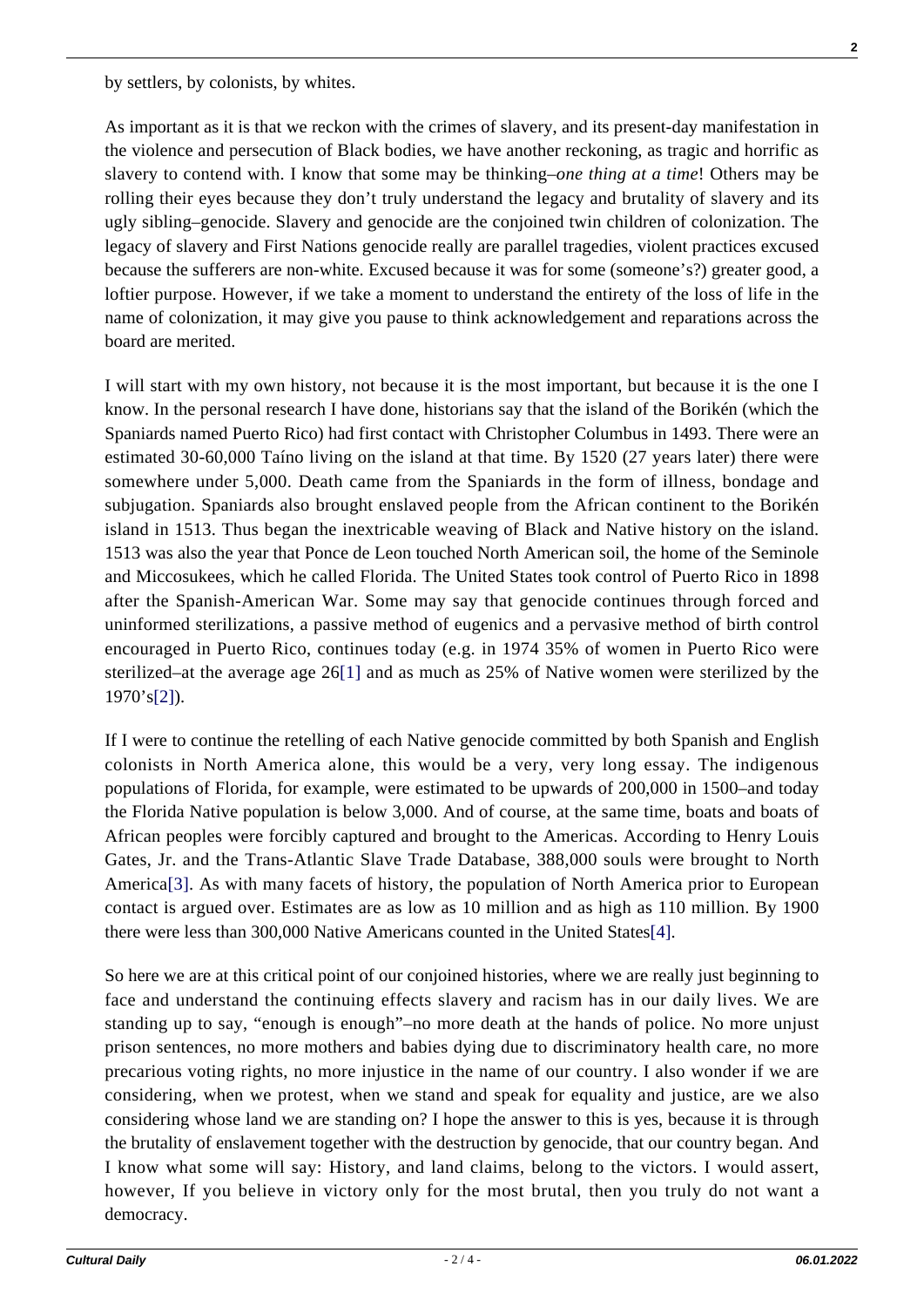by settlers, by colonists, by whites.

As important as it is that we reckon with the crimes of slavery, and its present-day manifestation in the violence and persecution of Black bodies, we have another reckoning, as tragic and horrific as slavery to contend with. I know that some may be thinking–*one thing at a time*! Others may be rolling their eyes because they don't truly understand the legacy and brutality of slavery and its ugly sibling–genocide. Slavery and genocide are the conjoined twin children of colonization. The legacy of slavery and First Nations genocide really are parallel tragedies, violent practices excused because the sufferers are non-white. Excused because it was for some (someone's?) greater good, a loftier purpose. However, if we take a moment to understand the entirety of the loss of life in the name of colonization, it may give you pause to think acknowledgement and reparations across the board are merited.

I will start with my own history, not because it is the most important, but because it is the one I know. In the personal research I have done, historians say that the island of the Borikén (which the Spaniards named Puerto Rico) had first contact with Christopher Columbus in 1493. There were an estimated 30-60,000 Taíno living on the island at that time. By 1520 (27 years later) there were somewhere under 5,000. Death came from the Spaniards in the form of illness, bondage and subjugation. Spaniards also brought enslaved people from the African continent to the Borikén island in 1513. Thus began the inextricable weaving of Black and Native history on the island. 1513 was also the year that Ponce de Leon touched North American soil, the home of the Seminole and Miccosukees, which he called Florida. The United States took control of Puerto Rico in 1898 after the Spanish-American War. Some may say that genocide continues through forced and uninformed sterilizations, a passive method of eugenics and a pervasive method of birth control encouraged in Puerto Rico, continues today (e.g. in 1974 35% of women in Puerto Rico were sterilized–at the average age 26[\[1\]](#page--1-0) and as much as 25% of Native women were sterilized by the 1970's[\[2\]](#page--1-0)).

If I were to continue the retelling of each Native genocide committed by both Spanish and English colonists in North America alone, this would be a very, very long essay. The indigenous populations of Florida, for example, were estimated to be upwards of 200,000 in 1500–and today the Florida Native population is below 3,000. And of course, at the same time, boats and boats of African peoples were forcibly captured and brought to the Americas. According to Henry Louis Gates, Jr. and the Trans-Atlantic Slave Trade Database, 388,000 souls were brought to North America[\[3\].](#page--1-0) As with many facets of history, the population of North America prior to European contact is argued over. Estimates are as low as 10 million and as high as 110 million. By 1900 there were less than 300,000 Native Americans counted in the United State[s\[4\].](#page--1-0)

So here we are at this critical point of our conjoined histories, where we are really just beginning to face and understand the continuing effects slavery and racism has in our daily lives. We are standing up to say, "enough is enough"–no more death at the hands of police. No more unjust prison sentences, no more mothers and babies dying due to discriminatory health care, no more precarious voting rights, no more injustice in the name of our country. I also wonder if we are considering, when we protest, when we stand and speak for equality and justice, are we also considering whose land we are standing on? I hope the answer to this is yes, because it is through the brutality of enslavement together with the destruction by genocide, that our country began. And I know what some will say: History, and land claims, belong to the victors. I would assert, however, If you believe in victory only for the most brutal, then you truly do not want a democracy.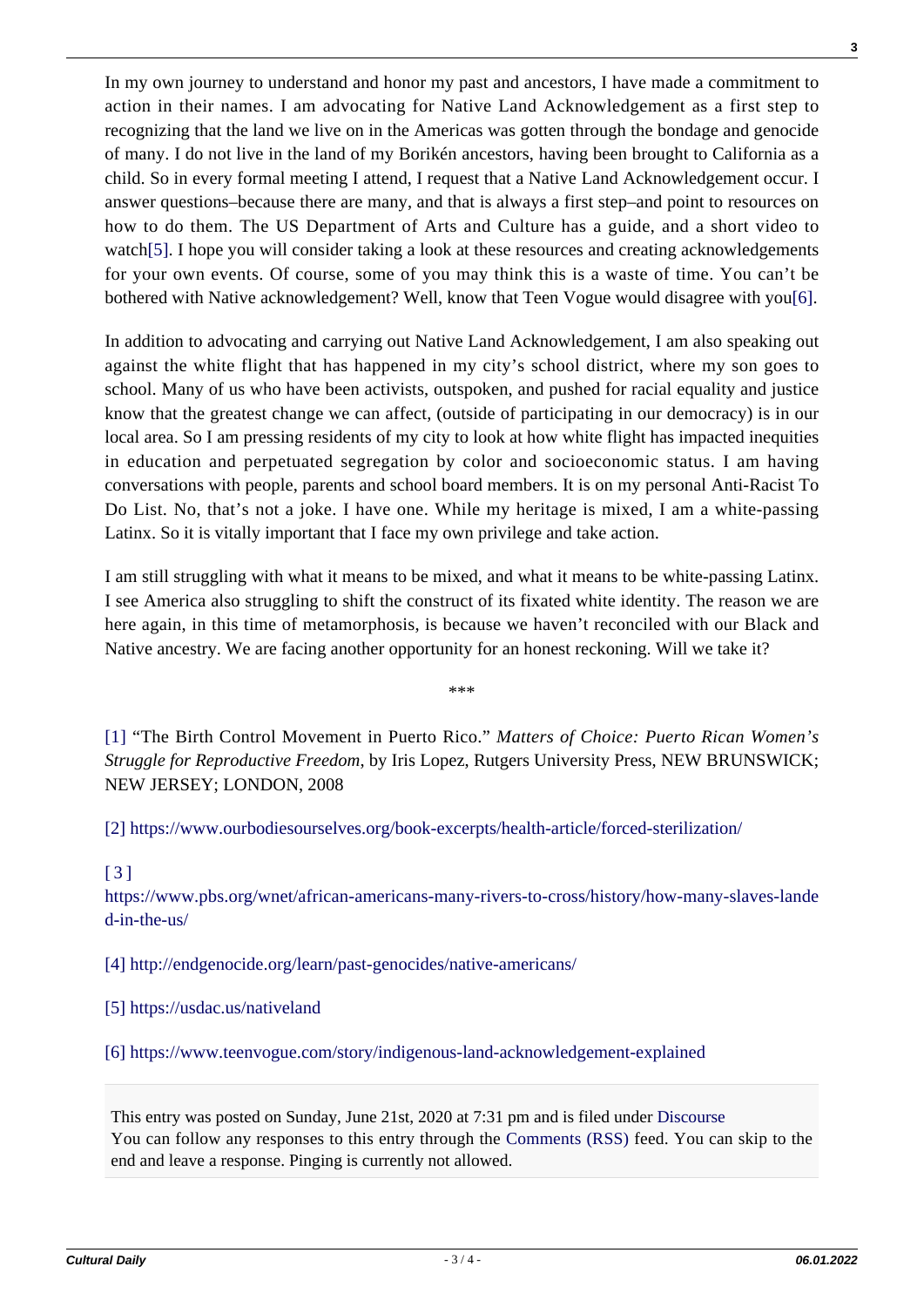In my own journey to understand and honor my past and ancestors, I have made a commitment to action in their names. I am advocating for Native Land Acknowledgement as a first step to recognizing that the land we live on in the Americas was gotten through the bondage and genocide of many. I do not live in the land of my Borikén ancestors, having been brought to California as a child. So in every formal meeting I attend, I request that a Native Land Acknowledgement occur. I answer questions–because there are many, and that is always a first step–and point to resources on how to do them. The US Department of Arts and Culture has a guide, and a short video to watc[h\[5\].](#page--1-0) I hope you will consider taking a look at these resources and creating acknowledgements for your own events. Of course, some of you may think this is a waste of time. You can't be bothered with Native acknowledgement? Well, know that Teen Vogue would disagree with you[\[6\].](#page--1-0)

In addition to advocating and carrying out Native Land Acknowledgement, I am also speaking out against the white flight that has happened in my city's school district, where my son goes to school. Many of us who have been activists, outspoken, and pushed for racial equality and justice know that the greatest change we can affect, (outside of participating in our democracy) is in our local area. So I am pressing residents of my city to look at how white flight has impacted inequities in education and perpetuated segregation by color and socioeconomic status. I am having conversations with people, parents and school board members. It is on my personal Anti-Racist To Do List. No, that's not a joke. I have one. While my heritage is mixed, I am a white-passing Latinx. So it is vitally important that I face my own privilege and take action.

I am still struggling with what it means to be mixed, and what it means to be white-passing Latinx. I see America also struggling to shift the construct of its fixated white identity. The reason we are here again, in this time of metamorphosis, is because we haven't reconciled with our Black and Native ancestry. We are facing another opportunity for an honest reckoning. Will we take it?

\*\*\*

[\[1\]](#page--1-0) "The Birth Control Movement in Puerto Rico." *Matters of Choice: Puerto Rican Women's Struggle for Reproductive Freedom*, by Iris Lopez, Rutgers University Press, NEW BRUNSWICK; NEW JERSEY; LONDON, 2008

[\[2\]](#page--1-0) <https://www.ourbodiesourselves.org/book-excerpts/health-article/forced-sterilization/>

## [\[3\]](#page--1-0)

[https://www.pbs.org/wnet/african-americans-many-rivers-to-cross/history/how-many-slaves-lande](https://www.pbs.org/wnet/african-americans-many-rivers-to-cross/history/how-many-slaves-landed-in-the-us/) [d-in-the-us/](https://www.pbs.org/wnet/african-americans-many-rivers-to-cross/history/how-many-slaves-landed-in-the-us/)

[\[4\]](#page--1-0) <http://endgenocide.org/learn/past-genocides/native-americans/>

[\[5\]](#page--1-0) <https://usdac.us/nativeland>

[\[6\]](#page--1-0) <https://www.teenvogue.com/story/indigenous-land-acknowledgement-explained>

This entry was posted on Sunday, June 21st, 2020 at 7:31 pm and is filed under [Discourse](https://culturaldaily.com/category/discourse/) You can follow any responses to this entry through the [Comments \(RSS\)](https://culturaldaily.com/comments/feed/) feed. You can skip to the end and leave a response. Pinging is currently not allowed.